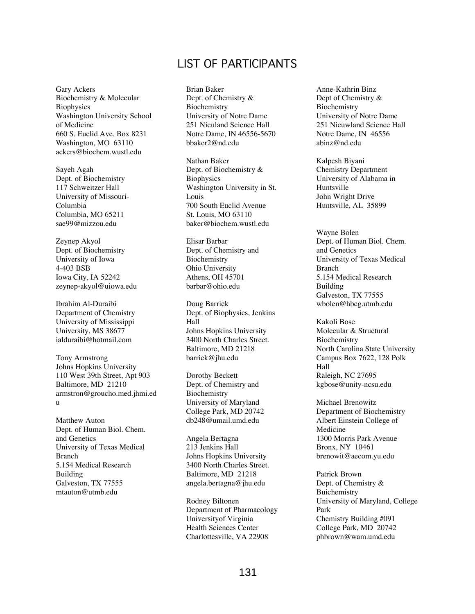### LIST OF PARTICIPANTS

Gary Ackers Biochemistry & Molecular Biophysics Washington University School of Medicine 660 S. Euclid Ave. Box 8231 Washington, MO 63110 ackers@biochem.wustl.edu

Sayeh Agah Dept. of Biochemistry 117 Schweitzer Hall University of Missouri-Columbia Columbia, MO 65211 sae99@mizzou.edu

Zeynep Akyol Dept. of Biochemistry University of Iowa 4-403 BSB Iowa City, IA 52242 zeynep-akyol@uiowa.edu

Ibrahim Al-Duraibi Department of Chemistry University of Mississippi University, MS 38677 ialduraibi@hotmail.com

Tony Armstrong Johns Hopkins University 110 West 39th Street, Apt 903 Baltimore, MD 21210 armstron@groucho.med.jhmi.ed u

Matthew Auton Dept. of Human Biol. Chem. and Genetics University of Texas Medical Branch 5.154 Medical Research Building Galveston, TX 77555 mtauton@utmb.edu

Brian Baker Dept. of Chemistry & Biochemistry University of Notre Dame 251 Nieuland Science Hall Notre Dame, IN 46556-5670 bbaker2@nd.edu

Nathan Baker Dept. of Biochemistry & **Biophysics** Washington University in St. Louis 700 South Euclid Avenue St. Louis, MO 63110 baker@biochem.wustl.edu

Elisar Barbar Dept. of Chemistry and Biochemistry Ohio University Athens, OH 45701 barbar@ohio.edu

Doug Barrick Dept. of Biophysics, Jenkins Hall Johns Hopkins University 3400 North Charles Street. Baltimore, MD 21218 barrick@jhu.edu

Dorothy Beckett Dept. of Chemistry and Biochemistry University of Maryland College Park, MD 20742 db248@umail.umd.edu

Angela Bertagna 213 Jenkins Hall Johns Hopkins University 3400 North Charles Street. Baltimore, MD 21218 angela.bertagna@jhu.edu

Rodney Biltonen Department of Pharmacology Universityof Virginia Health Sciences Center Charlottesville, VA 22908

Anne-Kathrin Binz Dept of Chemistry & Biochemistry University of Notre Dame 251 Nieuwland Science Hall Notre Dame, IN 46556 abinz@nd.edu

Kalpesh Biyani Chemistry Department University of Alabama in Huntsville John Wright Drive Huntsville, AL 35899

Wayne Bolen Dept. of Human Biol. Chem. and Genetics University of Texas Medical Branch 5.154 Medical Research Building Galveston, TX 77555 wbolen@hbcg.utmb.edu

Kakoli Bose Molecular & Structural **Biochemistry** North Carolina State University Campus Box 7622, 128 Polk Hall Raleigh, NC 27695 kgbose@unity-ncsu.edu

Michael Brenowitz Department of Biochemistry Albert Einstein College of Medicine 1300 Morris Park Avenue Bronx, NY 10461 brenowit@aecom.yu.edu

Patrick Brown Dept. of Chemistry & Buichemistry University of Maryland, College Park Chemistry Building #091 College Park, MD 20742 phbrown@wam.umd.edu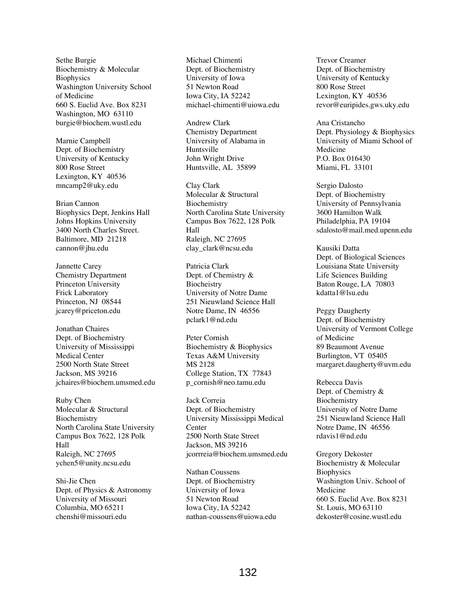Sethe Burgie Biochemistry & Molecular **Biophysics** Washington University School of Medicine 660 S. Euclid Ave. Box 8231 Washington, MO 63110 burgie@biochem.wustl.edu

Marnie Campbell Dept. of Biochemistry University of Kentucky 800 Rose Street Lexington, KY 40536 mncamp2@uky.edu

Brian Cannon Biophysics Dept, Jenkins Hall Johns Hopkins University 3400 North Charles Street. Baltimore, MD 21218 cannon@jhu.edu

Jannette Carey Chemistry Department Princeton University Frick Laboratory Princeton, NJ 08544 jcarey@priceton.edu

Jonathan Chaires Dept. of Biochemistry University of Mississippi Medical Center 2500 North State Street Jackson, MS 39216 jchaires@biochem.umsmed.edu

Ruby Chen Molecular & Structural Biochemistry North Carolina State University Campus Box 7622, 128 Polk Hall Raleigh, NC 27695 ychen5@unity.ncsu.edu

Shi-Jie Chen Dept. of Physics & Astronomy University of Missouri Columbia, MO 65211 chenshi@missouri.edu

Michael Chimenti Dept. of Biochemistry University of Iowa 51 Newton Road Iowa City, IA 52242 michael-chimenti@uiowa.edu

Andrew Clark Chemistry Department University of Alabama in Huntsville John Wright Drive Huntsville, AL 35899

Clay Clark Molecular & Structural Biochemistry North Carolina State University Campus Box 7622, 128 Polk Hall Raleigh, NC 27695 clay\_clark@ncsu.edu

Patricia Clark Dept. of Chemistry & **Biocheistry** University of Notre Dame 251 Nieuwland Science Hall Notre Dame, IN 46556 pclark1@nd.edu

Peter Cornish Biochemistry & Biophysics Texas A&M University MS 2128 College Station, TX 77843 p\_cornish@neo.tamu.edu

Jack Correia Dept. of Biochemistry University Mississippi Medical **Center** 2500 North State Street Jackson, MS 39216 jcorrreia@biochem.umsmed.edu

Nathan Coussens Dept. of Biochemistry University of Iowa 51 Newton Road Iowa City, IA 52242 nathan-coussens@uiowa.edu Trevor Creamer Dept. of Biochemistry University of Kentucky 800 Rose Street Lexington, KY 40536 revor@euripides.gws.uky.edu

Ana Cristancho Dept. Physiology & Biophysics University of Miami School of Medicine P.O. Box 016430 Miami, FL 33101

Sergio Dalosto Dept. of Biochemistry University of Pennsylvania 3600 Hamilton Walk Philadelphia, PA 19104 sdalosto@mail.med.upenn.edu

Kausiki Datta Dept. of Biological Sciences Louisiana State University Life Sciences Building Baton Rouge, LA 70803 kdatta1@lsu.edu

Peggy Daugherty Dept. of Biochemistry University of Vermont College of Medicine 89 Beaumont Avenue Burlington, VT 05405 margaret.daugherty@uvm.edu

Rebecca Davis Dept. of Chemistry & Biochemistry University of Notre Dame 251 Nieuwland Science Hall Notre Dame, IN 46556 rdavis1@nd.edu

Gregory Dekoster Biochemistry & Molecular **Biophysics** Washington Univ. School of Medicine 660 S. Euclid Ave. Box 8231 St. Louis, MO 63110 dekoster@cosine.wustl.edu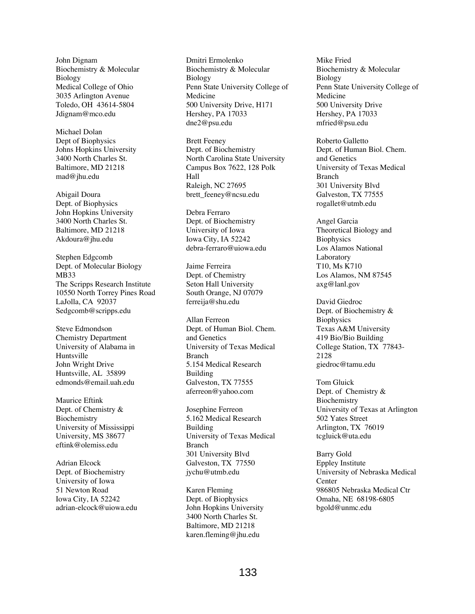John Dignam Biochemistry & Molecular Biology Medical College of Ohio 3035 Arlington Avenue Toledo, OH 43614-5804 Jdignam@mco.edu

Michael Dolan Dept of Biophysics Johns Hopkins University 3400 North Charles St. Baltimore, MD 21218 mad@jhu.edu

Abigail Doura Dept. of Biophysics John Hopkins University 3400 North Charles St. Baltimore, MD 21218 Akdoura@jhu.edu

Stephen Edgcomb Dept. of Molecular Biology MB33 The Scripps Research Institute 10550 North Torrey Pines Road LaJolla, CA 92037 Sedgcomb@scripps.edu

Steve Edmondson Chemistry Department University of Alabama in Huntsville John Wright Drive Huntsville, AL 35899 edmonds@email.uah.edu

Maurice Eftink Dept. of Chemistry & Biochemistry University of Mississippi University, MS 38677 eftink@olemiss.edu

Adrian Elcock Dept. of Biochemistry University of Iowa 51 Newton Road Iowa City, IA 52242 adrian-elcock@uiowa.edu Dmitri Ermolenko Biochemistry & Molecular Biology Penn State University College of Medicine 500 University Drive, H171 Hershey, PA 17033 dne2@psu.edu

Brett Feeney Dept. of Biochemistry North Carolina State University Campus Box 7622, 128 Polk Hall Raleigh, NC 27695 brett\_feeney@ncsu.edu

Debra Ferraro Dept. of Biochemistry University of Iowa Iowa City, IA 52242 debra-ferraro@uiowa.edu

Jaime Ferreira Dept. of Chemistry Seton Hall University South Orange, NJ 07079 ferreija@shu.edu

Allan Ferreon Dept. of Human Biol. Chem. and Genetics University of Texas Medical Branch 5.154 Medical Research Building Galveston, TX 77555 aferreon@yahoo.com

Josephine Ferreon 5.162 Medical Research Building University of Texas Medical Branch 301 University Blvd Galveston, TX 77550 jychu@utmb.edu

Karen Fleming Dept. of Biophysics John Hopkins University 3400 North Charles St. Baltimore, MD 21218 karen.fleming@jhu.edu

Mike Fried Biochemistry & Molecular Biology Penn State University College of Medicine 500 University Drive Hershey, PA 17033 mfried@psu.edu

Roberto Galletto Dept. of Human Biol. Chem. and Genetics University of Texas Medical Branch 301 University Blvd Galveston, TX 77555 rogallet@utmb.edu

Angel Garcia Theoretical Biology and **Biophysics** Los Alamos National Laboratory T10, Ms K710 Los Alamos, NM 87545 axg@lanl.gov

David Giedroc Dept. of Biochemistry & **Biophysics** Texas A&M University 419 Bio/Bio Building College Station, TX 77843- 2128 giedroc@tamu.edu

Tom Gluick Dept. of Chemistry & Biochemistry University of Texas at Arlington 502 Yates Street Arlington, TX 76019 tcgluick@uta.edu

Barry Gold Eppley Institute University of Nebraska Medical **Center** 986805 Nebraska Medical Ctr Omaha, NE 68198-6805 bgold@unmc.edu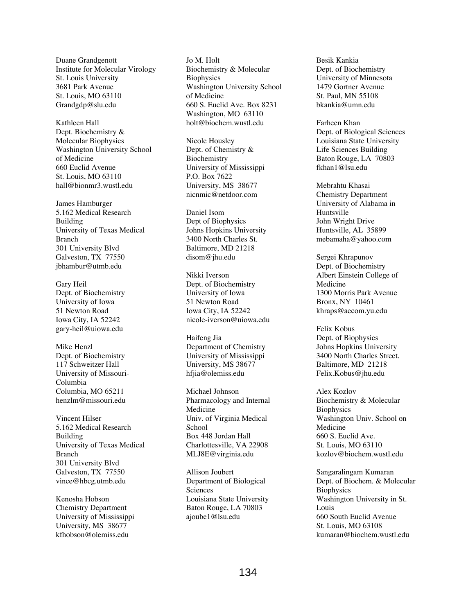Duane Grandgenott Institute for Molecular Virology St. Louis University 3681 Park Avenue St. Louis, MO 63110 Grandgdp@slu.edu

Kathleen Hall Dept. Biochemistry & Molecular Biophysics Washington University School of Medicine 660 Euclid Avenue St. Louis, MO 63110 hall@bionmr3.wustl.edu

James Hamburger 5.162 Medical Research Building University of Texas Medical Branch 301 University Blvd Galveston, TX 77550 jbhambur@utmb.edu

Gary Heil Dept. of Biochemistry University of Iowa 51 Newton Road Iowa City, IA 52242 gary-heil@uiowa.edu

Mike Henzl Dept. of Biochemistry 117 Schweitzer Hall University of Missouri-Columbia Columbia, MO 65211 henzlm@missouri.edu

Vincent Hilser 5.162 Medical Research Building University of Texas Medical Branch 301 University Blvd Galveston, TX 77550 vince@hbcg.utmb.edu

Kenosha Hobson Chemistry Department University of Mississippi University, MS 38677 kfhobson@olemiss.edu

Jo M. Holt Biochemistry & Molecular **Biophysics** Washington University School of Medicine 660 S. Euclid Ave. Box 8231 Washington, MO 63110 holt@biochem.wustl.edu

Nicole Housley Dept. of Chemistry & Biochemistry University of Mississippi P.O. Box 7622 University, MS 38677 nicnmic@netdoor.com

Daniel Isom Dept of Biophysics Johns Hopkins University 3400 North Charles St. Baltimore, MD 21218 disom@jhu.edu

Nikki Iverson Dept. of Biochemistry University of Iowa 51 Newton Road Iowa City, IA 52242 nicole-iverson@uiowa.edu

Haifeng Jia Department of Chemistry University of Mississippi University, MS 38677 hfjia@olemiss.edu

Michael Johnson Pharmacology and Internal Medicine Univ. of Virginia Medical School Box 448 Jordan Hall Charlottesville, VA 22908 MLJ8E@virginia.edu

Allison Joubert Department of Biological Sciences Louisiana State University Baton Rouge, LA 70803 ajoube1@lsu.edu

Besik Kankia Dept. of Biochemistry University of Minnesota 1479 Gortner Avenue St. Paul, MN 55108 bkankia@umn.edu

Farheen Khan Dept. of Biological Sciences Louisiana State University Life Sciences Building Baton Rouge, LA 70803 fkhan1@lsu.edu

Mebrahtu Khasai Chemistry Department University of Alabama in Huntsville John Wright Drive Huntsville, AL 35899 mebamaha@yahoo.com

Sergei Khrapunov Dept. of Biochemistry Albert Einstein College of Medicine 1300 Morris Park Avenue Bronx, NY 10461 khraps@aecom.yu.edu

Felix Kobus Dept. of Biophysics Johns Hopkins University 3400 North Charles Street. Baltimore, MD 21218 Felix.Kobus@jhu.edu

Alex Kozlov Biochemistry & Molecular **Biophysics** Washington Univ. School on Medicine 660 S. Euclid Ave. St. Louis, MO 63110 kozlov@biochem.wustl.edu

Sangaralingam Kumaran Dept. of Biochem. & Molecular **Biophysics** Washington University in St. Louis 660 South Euclid Avenue St. Louis, MO 63108 kumaran@biochem.wustl.edu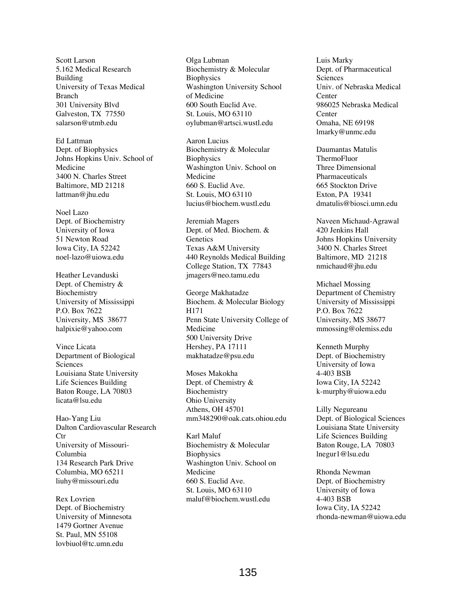Scott Larson 5.162 Medical Research Building University of Texas Medical Branch 301 University Blvd Galveston, TX 77550 salarson@utmb.edu

Ed Lattman Dept. of Biophysics Johns Hopkins Univ. School of Medicine 3400 N. Charles Street Baltimore, MD 21218 lattman@jhu.edu

Noel Lazo Dept. of Biochemistry University of Iowa 51 Newton Road Iowa City, IA 52242 noel-lazo@uiowa.edu

Heather Levanduski Dept. of Chemistry & Biochemistry University of Mississippi P.O. Box 7622 University, MS 38677 halpixie@yahoo.com

Vince Licata Department of Biological Sciences Louisiana State University Life Sciences Building Baton Rouge, LA 70803 licata@lsu.edu

Hao-Yang Liu Dalton Cardiovascular Research Ctr University of Missouri-Columbia 134 Research Park Drive Columbia, MO 65211 liuhy@missouri.edu

Rex Lovrien Dept. of Biochemistry University of Minnesota 1479 Gortner Avenue St. Paul, MN 55108 lovbiuol@tc.umn.edu

Olga Lubman Biochemistry & Molecular **Biophysics** Washington University School of Medicine 600 South Euclid Ave. St. Louis, MO 63110 oylubman@artsci.wustl.edu

Aaron Lucius Biochemistry & Molecular **Biophysics** Washington Univ. School on Medicine 660 S. Euclid Ave. St. Louis, MO 63110 lucius@biochem.wustl.edu

Jeremiah Magers Dept. of Med. Biochem. & Genetics Texas A&M University 440 Reynolds Medical Building College Station, TX 77843 jmagers@neo.tamu.edu

George Makhatadze Biochem. & Molecular Biology H171 Penn State University College of Medicine 500 University Drive Hershey, PA 17111 makhatadze@psu.edu

Moses Makokha Dept. of Chemistry & Biochemistry Ohio University Athens, OH 45701 mm348290@oak.cats.ohiou.edu

Karl Maluf Biochemistry & Molecular **Biophysics** Washington Univ. School on Medicine 660 S. Euclid Ave. St. Louis, MO 63110 maluf@biochem.wustl.edu

Luis Marky Dept. of Pharmaceutical Sciences Univ. of Nebraska Medical Center 986025 Nebraska Medical **Center** Omaha, NE 69198 lmarky@unmc.edu

Daumantas Matulis **ThermoFluor** Three Dimensional Pharmaceuticals 665 Stockton Drive Exton, PA 19341 dmatulis@biosci.umn.edu

Naveen Michaud-Agrawal 420 Jenkins Hall Johns Hopkins University 3400 N. Charles Street Baltimore, MD 21218 nmichaud@jhu.edu

Michael Mossing Department of Chemistry University of Mississippi P.O. Box 7622 University, MS 38677 mmossing@olemiss.edu

Kenneth Murphy Dept. of Biochemistry University of Iowa 4-403 BSB Iowa City, IA 52242 k-murphy@uiowa.edu

Lilly Negureanu Dept. of Biological Sciences Louisiana State University Life Sciences Building Baton Rouge, LA 70803 lnegur1@lsu.edu

Rhonda Newman Dept. of Biochemistry University of Iowa 4-403 BSB Iowa City, IA 52242 rhonda-newman@uiowa.edu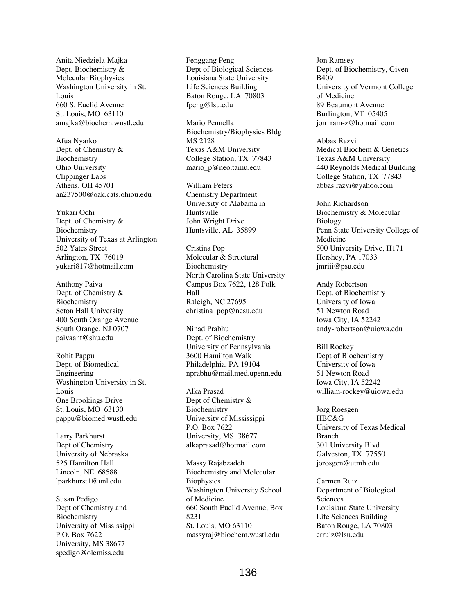Anita Niedziela-Majka Dept. Biochemistry & Molecular Biophysics Washington University in St. Louis 660 S. Euclid Avenue St. Louis, MO 63110 amajka@biochem.wustl.edu

Afua Nyarko Dept. of Chemistry & Biochemistry Ohio University Clippinger Labs Athens, OH 45701 an237500@oak.cats.ohiou.edu

Yukari Ochi Dept. of Chemistry & Biochemistry University of Texas at Arlington 502 Yates Street Arlington, TX 76019 yukari817@hotmail.com

Anthony Paiva Dept. of Chemistry & Biochemistry Seton Hall University 400 South Orange Avenue South Orange, NJ 0707 paivaant@shu.edu

Rohit Pappu Dept. of Biomedical Engineering Washington University in St. Louis One Brookings Drive St. Louis, MO 63130 pappu@biomed.wustl.edu

Larry Parkhurst Dept of Chemistry University of Nebraska 525 Hamilton Hall Lincoln, NE 68588 lparkhurst1@unl.edu

Susan Pedigo Dept of Chemistry and Biochemistry University of Mississippi P.O. Box 7622 University, MS 38677 spedigo@olemiss.edu

Fenggang Peng Dept of Biological Sciences Louisiana State University Life Sciences Building Baton Rouge, LA 70803 fpeng@lsu.edu

Mario Pennella Biochemistry/Biophysics Bldg MS 2128 Texas A&M University College Station, TX 77843 mario\_p@neo.tamu.edu

William Peters Chemistry Department University of Alabama in Huntsville John Wright Drive Huntsville, AL 35899

Cristina Pop Molecular & Structural Biochemistry North Carolina State University Campus Box 7622, 128 Polk Hall Raleigh, NC 27695 christina\_pop@ncsu.edu

Ninad Prabhu Dept. of Biochemistry University of Pennsylvania 3600 Hamilton Walk Philadelphia, PA 19104 nprabhu@mail.med.upenn.edu

Alka Prasad Dept of Chemistry & Biochemistry University of Mississippi P.O. Box 7622 University, MS 38677 alkaprasad@hotmail.com

Massy Rajabzadeh Biochemistry and Molecular **Biophysics** Washington University School of Medicine 660 South Euclid Avenue, Box 8231 St. Louis, MO 63110 massyraj@biochem.wustl.edu

Jon Ramsey Dept. of Biochemistry, Given B409 University of Vermont College of Medicine 89 Beaumont Avenue Burlington, VT 05405 jon\_ram-z@hotmail.com

Abbas Razvi Medical Biochem & Genetics Texas A&M University 440 Reynolds Medical Building College Station, TX 77843 abbas.razvi@yahoo.com

John Richardson Biochemistry & Molecular Biology Penn State University College of Medicine 500 University Drive, H171 Hershey, PA 17033 jmriii@psu.edu

Andy Robertson Dept. of Biochemistry University of Iowa 51 Newton Road Iowa City, IA 52242 andy-robertson@uiowa.edu

Bill Rockey Dept of Biochemistry University of Iowa 51 Newton Road Iowa City, IA 52242 william-rockey@uiowa.edu

Jorg Roesgen HBC&G University of Texas Medical Branch 301 University Blvd Galveston, TX 77550 jorosgen@utmb.edu

Carmen Ruiz Department of Biological Sciences Louisiana State University Life Sciences Building Baton Rouge, LA 70803 crruiz@lsu.edu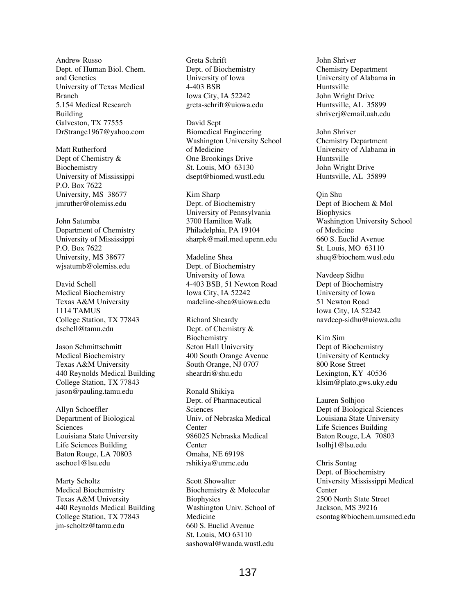Andrew Russo Dept. of Human Biol. Chem. and Genetics University of Texas Medical Branch 5.154 Medical Research Building Galveston, TX 77555 DrStrange1967@yahoo.com

Matt Rutherford Dept of Chemistry & Biochemistry University of Mississippi P.O. Box 7622 University, MS 38677 jmruther@olemiss.edu

John Satumba Department of Chemistry University of Mississippi P.O. Box 7622 University, MS 38677 wjsatumb@olemiss.edu

David Schell Medical Biochemistry Texas A&M University 1114 TAMUS College Station, TX 77843 dschell@tamu.edu

Jason Schmittschmitt Medical Biochemistry Texas A&M University 440 Reynolds Medical Building College Station, TX 77843 jason@pauling.tamu.edu

Allyn Schoeffler Department of Biological Sciences Louisiana State University Life Sciences Building Baton Rouge, LA 70803 aschoe1@lsu.edu

Marty Scholtz Medical Biochemistry Texas A&M University 440 Reynolds Medical Building College Station, TX 77843 jm-scholtz@tamu.edu

Greta Schrift Dept. of Biochemistry University of Iowa 4-403 BSB Iowa City, IA 52242 greta-schrift@uiowa.edu

David Sept Biomedical Engineering Washington University School of Medicine One Brookings Drive St. Louis, MO 63130 dsept@biomed.wustl.edu

Kim Sharp Dept. of Biochemistry University of Pennsylvania 3700 Hamilton Walk Philadelphia, PA 19104 sharpk@mail.med.upenn.edu

Madeline Shea Dept. of Biochemistry University of Iowa 4-403 BSB, 51 Newton Road Iowa City, IA 52242 madeline-shea@uiowa.edu

Richard Sheardy Dept. of Chemistry & Biochemistry Seton Hall University 400 South Orange Avenue South Orange, NJ 0707 sheardri@shu.edu

Ronald Shikiya Dept. of Pharmaceutical Sciences Univ. of Nebraska Medical **Center** 986025 Nebraska Medical Center Omaha, NE 69198 rshikiya@unmc.edu

Scott Showalter Biochemistry & Molecular **Biophysics** Washington Univ. School of Medicine 660 S. Euclid Avenue St. Louis, MO 63110 sashowal@wanda.wustl.edu

John Shriver Chemistry Department University of Alabama in Huntsville John Wright Drive Huntsville, AL 35899 shriverj@email.uah.edu

John Shriver Chemistry Department University of Alabama in Huntsville John Wright Drive Huntsville, AL 35899

Qin Shu Dept of Biochem & Mol **Biophysics** Washington University School of Medicine 660 S. Euclid Avenue St. Louis, MO 63110 shuq@biochem.wusl.edu

Navdeep Sidhu Dept of Biochemistry University of Iowa 51 Newton Road Iowa City, IA 52242 navdeep-sidhu@uiowa.edu

Kim Sim Dept of Biochemistry University of Kentucky 800 Rose Street Lexington, KY 40536 klsim@plato.gws.uky.edu

Lauren Solhjoo Dept of Biological Sciences Louisiana State University Life Sciences Building Baton Rouge, LA 70803 lsolhj1@lsu.edu

Chris Sontag Dept. of Biochemistry University Mississippi Medical **Center** 2500 North State Street Jackson, MS 39216 csontag@biochem.umsmed.edu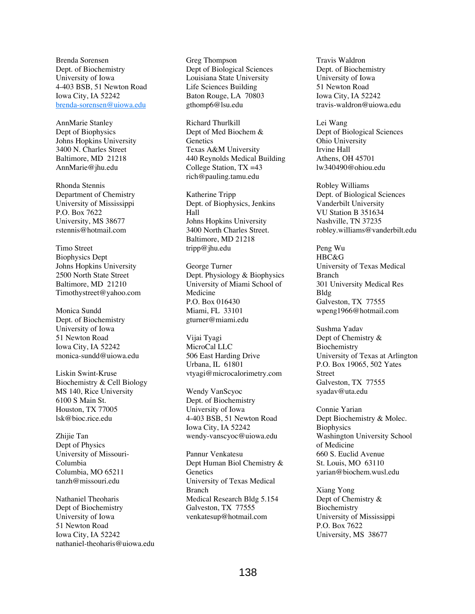Brenda Sorensen Dept. of Biochemistry University of Iowa 4-403 BSB, 51 Newton Road Iowa City, IA 52242 brenda-sorensen@uiowa.edu

AnnMarie Stanley Dept of Biophysics Johns Hopkins University 3400 N. Charles Street Baltimore, MD 21218 AnnMarie@jhu.edu

Rhonda Stennis Department of Chemistry University of Mississippi P.O. Box 7622 University, MS 38677 rstennis@hotmail.com

Timo Street Biophysics Dept Johns Hopkins University 2500 North State Street Baltimore, MD 21210 Timothystreet@yahoo.com

Monica Sundd Dept. of Biochemistry University of Iowa 51 Newton Road Iowa City, IA 52242 monica-sundd@uiowa.edu

Liskin Swint-Kruse Biochemistry & Cell Biology MS 140, Rice University 6100 S Main St. Houston, TX 77005 lsk@bioc.rice.edu

Zhijie Tan Dept of Physics University of Missouri-Columbia Columbia, MO 65211 tanzh@missouri.edu

Nathaniel Theoharis Dept of Biochemistry University of Iowa 51 Newton Road Iowa City, IA 52242 nathaniel-theoharis@uiowa.edu Greg Thompson Dept of Biological Sciences Louisiana State University Life Sciences Building Baton Rouge, LA 70803 gthomp6@lsu.edu

Richard Thurlkill Dept of Med Biochem & **Genetics** Texas A&M University 440 Reynolds Medical Building College Station, TX =43 rich@pauling.tamu.edu

Katherine Tripp Dept. of Biophysics, Jenkins Hall Johns Hopkins University 3400 North Charles Street. Baltimore, MD 21218 tripp@jhu.edu

George Turner Dept. Physiology & Biophysics University of Miami School of Medicine P.O. Box 016430 Miami, FL 33101 gturner@miami.edu

Vijai Tyagi MicroCal LLC 506 East Harding Drive Urbana, IL 61801 vtyagi@microcalorimetry.com

Wendy VanScyoc Dept. of Biochemistry University of Iowa 4-403 BSB, 51 Newton Road Iowa City, IA 52242 wendy-vanscyoc@uiowa.edu

Pannur Venkatesu Dept Human Biol Chemistry & **Genetics** University of Texas Medical Branch Medical Research Bldg 5.154 Galveston, TX 77555 venkatesup@hotmail.com

Travis Waldron Dept. of Biochemistry University of Iowa 51 Newton Road Iowa City, IA 52242 travis-waldron@uiowa.edu

Lei Wang Dept of Biological Sciences Ohio University Irvine Hall Athens, OH 45701 lw340490@ohiou.edu

Robley Williams Dept. of Biological Sciences Vanderbilt University VU Station B 351634 Nashville, TN 37235 robley.williams@vanderbilt.edu

Peng Wu HBC&G University of Texas Medical Branch 301 University Medical Res Bldg Galveston, TX 77555 wpeng1966@hotmail.com

Sushma Yadav Dept of Chemistry & Biochemistry University of Texas at Arlington P.O. Box 19065, 502 Yates Street Galveston, TX 77555 syadav@uta.edu

Connie Yarian Dept Biochemistry & Molec. **Biophysics** Washington University School of Medicine 660 S. Euclid Avenue St. Louis, MO 63110 yarian@biochem.wusl.edu

Xiang Yong Dept of Chemistry & Biochemistry University of Mississippi P.O. Box 7622 University, MS 38677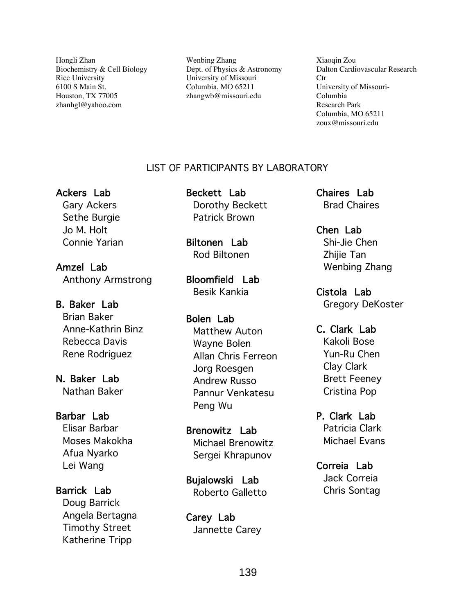Hongli Zhan Biochemistry & Cell Biology Rice University 6100 S Main St. Houston, TX 77005 zhanhgl@yahoo.com

Wenbing Zhang Dept. of Physics & Astronomy University of Missouri Columbia, MO 65211 zhangwb@missouri.edu

Xiaoqin Zou Dalton Cardiovascular Research Ctr University of Missouri-Columbia Research Park Columbia, MO 65211 zoux@missouri.edu

## LIST OF PARTICIPANTS BY LABORATORY

## Ackers Lab

Gary Ackers Sethe Burgie Jo M. Holt Connie Yarian

Amzel Lab Anthony Armstrong

# B. Baker Lab

Brian Baker Anne-Kathrin Binz Rebecca Davis Rene Rodriguez

N. Baker Lab Nathan Baker

### Barbar Lab Elisar Barbar

Moses Makokha Afua Nyarko Lei Wang

Barrick Lab Doug Barrick Angela Bertagna Timothy Street Katherine Tripp

Beckett Lab Dorothy Beckett Patrick Brown

Biltonen Lab Rod Biltonen

Bloomfield Lab Besik Kankia

Bolen Lab

Matthew Auton Wayne Bolen Allan Chris Ferreon Jorg Roesgen Andrew Russo Pannur Venkatesu Peng Wu

Brenowitz Lab Michael Brenowitz Sergei Khrapunov

Bujalowski Lab Roberto Galletto

Carey Lab Jannette Carey Chaires Lab Brad Chaires

Chen Lab Shi-Jie Chen Zhijie Tan Wenbing Zhang

Cistola Lab Gregory DeKoster

C. Clark Lab Kakoli Bose Yun-Ru Chen

> Clay Clark Brett Feeney Cristina Pop

P. Clark Lab Patricia Clark Michael Evans

Correia Lab Jack Correia Chris Sontag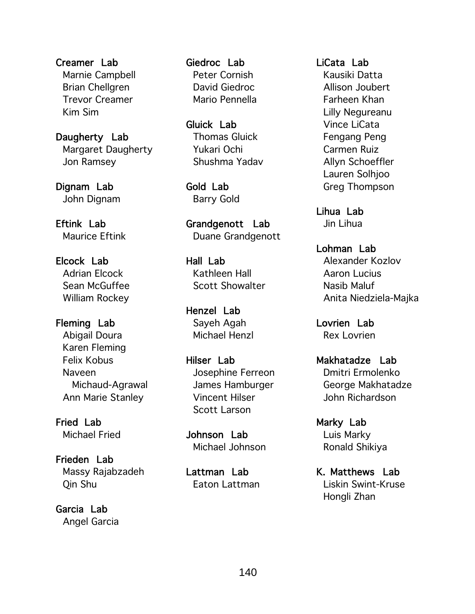Creamer Lab Marnie Campbell Brian Chellgren Trevor Creamer Kim Sim

Daugherty Lab Margaret Daugherty Jon Ramsey

Dignam Lab John Dignam

Eftink Lab Maurice Eftink

Elcock Lab Adrian Elcock Sean McGuffee William Rockey

Fleming Lab Abigail Doura Karen Fleming Felix Kobus Naveen Michaud-Agrawal Ann Marie Stanley

Fried Lab Michael Fried

Frieden Lab Massy Rajabzadeh Qin Shu

Garcia Lab Angel Garcia Giedroc Lab Peter Cornish David Giedroc Mario Pennella

Gluick Lab Thomas Gluick Yukari Ochi Shushma Yadav

Gold Lab Barry Gold

Grandgenott Lab Duane Grandgenott

Hall Lab Kathleen Hall Scott Showalter

Henzel Lab Sayeh Agah Michael Henzl

Hilser Lab Josephine Ferreon James Hamburger Vincent Hilser Scott Larson

Johnson Lab Michael Johnson

Lattman Lab Eaton Lattman

### LiCata Lab

Kausiki Datta Allison Joubert Farheen Khan Lilly Negureanu Vince LiCata Fengang Peng Carmen Ruiz Allyn Schoeffler Lauren Solhjoo Greg Thompson

Lihua Lab Jin Lihua

Lohman Lab Alexander Kozlov Aaron Lucius Nasib Maluf Anita Niedziela-Majka

Lovrien Lab Rex Lovrien

Makhatadze Lab Dmitri Ermolenko George Makhatadze John Richardson

Marky Lab Luis Marky Ronald Shikiya

K. Matthews Lab Liskin Swint-Kruse Hongli Zhan